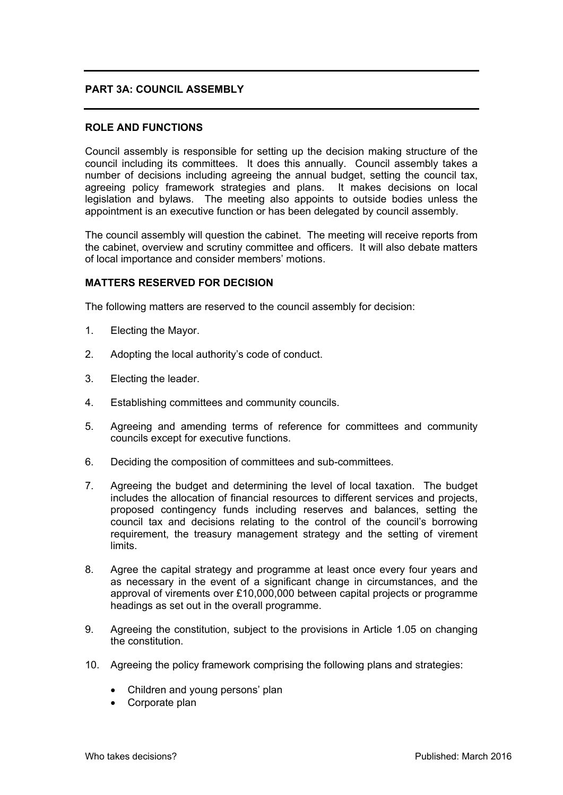## **PART 3A: COUNCIL ASSEMBLY**

## **ROLE AND FUNCTIONS**

Council assembly is responsible for setting up the decision making structure of the council including its committees. It does this annually. Council assembly takes a number of decisions including agreeing the annual budget, setting the council tax, agreeing policy framework strategies and plans. It makes decisions on local legislation and bylaws. The meeting also appoints to outside bodies unless the appointment is an executive function or has been delegated by council assembly.

The council assembly will question the cabinet. The meeting will receive reports from the cabinet, overview and scrutiny committee and officers. It will also debate matters of local importance and consider members' motions.

## **MATTERS RESERVED FOR DECISION**

The following matters are reserved to the council assembly for decision:

- 1. Electing the Mayor.
- 2. Adopting the local authority's code of conduct.
- 3. Electing the leader.
- 4. Establishing committees and community councils.
- 5. Agreeing and amending terms of reference for committees and community councils except for executive functions.
- 6. Deciding the composition of committees and sub-committees.
- 7. Agreeing the budget and determining the level of local taxation. The budget includes the allocation of financial resources to different services and projects, proposed contingency funds including reserves and balances, setting the council tax and decisions relating to the control of the council's borrowing requirement, the treasury management strategy and the setting of virement limits.
- 8. Agree the capital strategy and programme at least once every four years and as necessary in the event of a significant change in circumstances, and the approval of virements over £10,000,000 between capital projects or programme headings as set out in the overall programme.
- 9. Agreeing the constitution, subject to the provisions in Article 1.05 on changing the constitution.
- 10. Agreeing the policy framework comprising the following plans and strategies:
	- Children and young persons' plan
	- Corporate plan